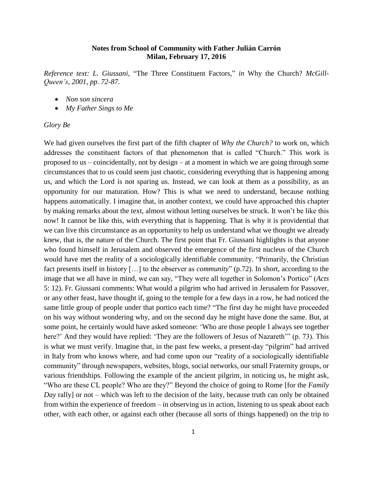## **Notes from School of Community with Father Julián Carrón Milan, February 17, 2016**

*Reference text: L. Giussani,* "The Three Constituent Factors*,*" *in* Why the Church? *McGill-Queen's, 2001, pp. 72-87.*

- *Non son sincera*
- *My Father Sings to Me*

## *Glory Be*

We had given ourselves the first part of the fifth chapter of *Why the Church?* to work on, which addresses the constituent factors of that phenomenon that is called "Church." This work is proposed to us – coincidentally, not by design – at a moment in which we are going through some circumstances that to us could seem just chaotic, considering everything that is happening among us, and which the Lord is not sparing us. Instead, we can look at them as a possibility, as an opportunity for our maturation. How? This is what we need to understand, because nothing happens automatically. I imagine that, in another context, we could have approached this chapter by making remarks about the text, almost without letting ourselves be struck. It won't be like this now! It cannot be like this, with everything that is happening. That is why it is providential that we can live this circumstance as an opportunity to help us understand what we thought we already knew, that is, the nature of the Church. The first point that Fr. Giussani highlights is that anyone who found himself in Jerusalem and observed the emergence of the first nucleus of the Church would have met the reality of a sociologically identifiable community. "Primarily, the Christian fact presents itself in history […] to the observer as *community*" (p.72). In short, according to the image that we all have in mind, we can say, "They were all together in Solomon's Portico" (*Acts* 5: 12). Fr. Giussani comments: What would a pilgrim who had arrived in Jerusalem for Passover, or any other feast, have thought if, going to the temple for a few days in a row, he had noticed the same little group of people under that portico each time? "The first day he might have proceeded on his way without wondering why, and on the second day he might have done the same. But, at some point, he certainly would have asked someone: 'Who are those people I always see together here?' And they would have replied: 'They are the followers of Jesus of Nazareth'" (p. 73). This is what we must verify. Imagine that, in the past few weeks, a present-day "pilgrim" had arrived in Italy from who knows where, and had come upon our "reality of a sociologically identifiable community" through newspapers, websites, blogs, social networks, our small Fraternity groups, or various friendships. Following the example of the ancient pilgrim, in noticing us, he might ask, "Who are these CL people? Who are they?" Beyond the choice of going to Rome [for the *Family Day* rally] or not – which was left to the decision of the laity, because truth can only be obtained from within the experience of freedom – in observing us in action, listening to us speak about each other, with each other, or against each other (because all sorts of things happened) on the trip to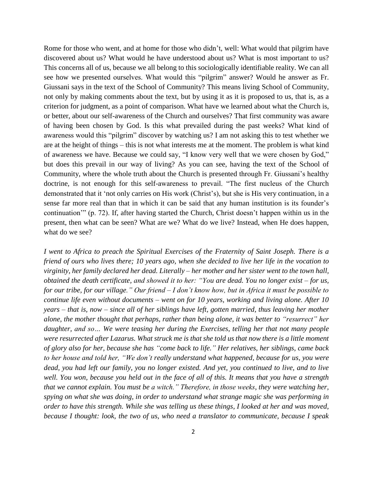Rome for those who went, and at home for those who didn't, well: What would that pilgrim have discovered about us? What would he have understood about us? What is most important to us? This concerns all of us, because we all belong to this sociologically identifiable reality. We can all see how we presented ourselves. What would this "pilgrim" answer? Would he answer as Fr. Giussani says in the text of the School of Community? This means living School of Community, not only by making comments about the text, but by using it as it is proposed to us, that is, as a criterion for judgment, as a point of comparison. What have we learned about what the Church is, or better, about our self-awareness of the Church and ourselves? That first community was aware of having been chosen by God. Is this what prevailed during the past weeks? What kind of awareness would this "pilgrim" discover by watching us? I am not asking this to test whether we are at the height of things – this is not what interests me at the moment. The problem is what kind of awareness we have. Because we could say, "I know very well that we were chosen by God," but does this prevail in our way of living? As you can see, having the text of the School of Community, where the whole truth about the Church is presented through Fr. Giussani's healthy doctrine, is not enough for this self-awareness to prevail. "The first nucleus of the Church demonstrated that it 'not only carries on His work (Christ's), but she is His very continuation, in a sense far more real than that in which it can be said that any human institution is its founder's continuation'" (p. 72). If, after having started the Church, Christ doesn't happen within us in the present, then what can be seen? What are we? What do we live? Instead, when He does happen, what do we see?

*I went to Africa to preach the Spiritual Exercises of the Fraternity of Saint Joseph. There is a friend of ours who lives there; 10 years ago, when she decided to live her life in the vocation to virginity, her family declared her dead. Literally – her mother and her sister went to the town hall, obtained the death certificate, and showed it to her: "You are dead. You no longer exist – for us, for our tribe, for our village." Our friend – I don't know how, but in Africa it must be possible to continue life even without documents – went on for 10 years, working and living alone. After 10 years – that is, now – since all of her siblings have left, gotten married, thus leaving her mother alone, the mother thought that perhaps, rather than being alone, it was better to "resurrect" her daughter, and so… We were teasing her during the Exercises, telling her that not many people were resurrected after Lazarus. What struck me is that she told us that now there is a little moment of glory also for her, because she has "come back to life." Her relatives, her siblings, came back to her house and told her, "We don't really understand what happened, because for us, you were dead, you had left our family, you no longer existed. And yet, you continued to live, and to live well. You won, because you held out in the face of all of this. It means that you have a strength that we cannot explain. You must be a witch." Therefore, in those weeks, they were watching her, spying on what she was doing, in order to understand what strange magic she was performing in order to have this strength. While she was telling us these things, I looked at her and was moved, because I thought: look, the two of us, who need a translator to communicate, because I speak*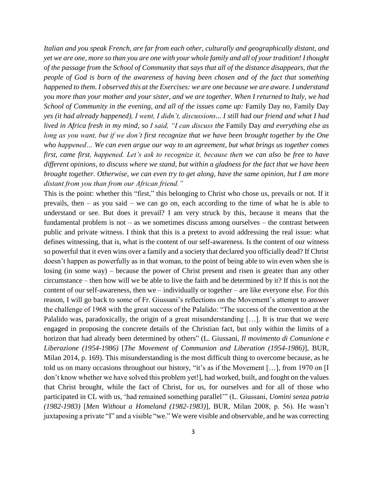*Italian and you speak French, are far from each other, culturally and geographically distant, and yet we are one, more so than you are one with your whole family and all of your tradition! I thought of the passage from the School of Community that says that all of the distance disappears, that the people of God is born of the awareness of having been chosen and of the fact that something happened to them. I observed this at the Exercises: we are one because we are aware. I understand you more than your mother and your sister, and we are together. When I returned to Italy, we had School of Community in the evening, and all of the issues came up:* Family Day *no,* Family Day *yes (it had already happened), I went, I didn't, discussions... I still had our friend and what I had lived in Africa fresh in my mind, so I said, "I can discuss the* Family Day *and everything else as long as you want, but if we don't first recognize that we have been brought together by the One who happened… We can even argue our way to an agreement, but what brings us together comes first, came first, happened. Let's ask to recognize it, because then we can also be free to have different opinions, to discuss where we stand, but within a gladness for the fact that we have been brought together. Otherwise, we can even try to get along, have the same opinion, but I am more distant from you than from our African friend."*

This is the point: whether this "first," this belonging to Christ who chose us, prevails or not. If it prevails, then – as you said – we can go on, each according to the time of what he is able to understand or see. But does it prevail? I am very struck by this, because it means that the fundamental problem is not – as we sometimes discuss among ourselves – the contrast between public and private witness. I think that this is a pretext to avoid addressing the real issue: what defines witnessing, that is, what is the content of our self-awareness. Is the content of our witness so powerful that it even wins over a family and a society that declared you officially dead? If Christ doesn't happen as powerfully as in that woman, to the point of being able to win even when she is losing (in some way) – because the power of Christ present and risen is greater than any other circumstance – then how will we be able to live the faith and be determined by it? If this is not the content of our self-awareness, then we – individually or together – are like everyone else. For this reason, I will go back to some of Fr. Giussani's reflections on the Movement's attempt to answer the challenge of 1968 with the great success of the Palalido: "The success of the convention at the Palalido was, paradoxically, the origin of a great misunderstanding […]. It is true that we were engaged in proposing the concrete details of the Christian fact, but only within the limits of a horizon that had already been determined by others" (L. Giussani, *Il movimento di Comunione e Liberazione (1954-1986)* [*The Movement of Communion and Liberation (1954-1986)*], BUR, Milan 2014, p. 169). This misunderstanding is the most difficult thing to overcome because, as he told us on many occasions throughout our history, "it's as if the Movement […], from 1970 on [I don't know whether we have solved this problem yet!], had worked, built, and fought on the values that Christ brought, while the fact of Christ, for us, for ourselves and for all of those who participated in CL with us, 'had remained something parallel'" (L. Giussani, *Uomini senza patria (1982-1983)* [*Men Without a Homeland (1982-1983)*], BUR, Milan 2008, p. 56). He wasn't juxtaposing a private "I" and a visible "we." We were visible and observable, and he was correcting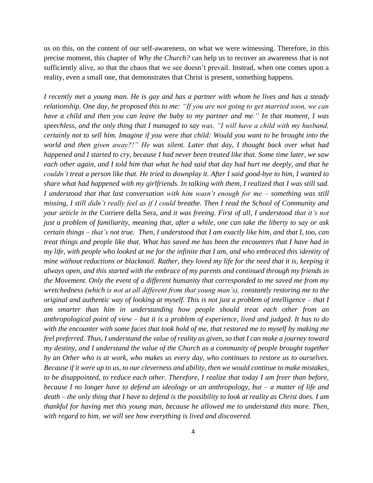us on this, on the content of our self-awareness, on what we were witnessing. Therefore, in this precise moment, this chapter of *Why the Church?* can help us to recover an awareness that is not sufficiently alive, so that the chaos that we see doesn't prevail. Instead, when one comes upon a reality, even a small one, that demonstrates that Christ is present, something happens.

*I recently met a young man. He is gay and has a partner with whom he lives and has a steady relationship. One day, he proposed this to me: "If you are not going to get married soon, we can have a child and then you can leave the baby to my partner and me." In that moment, I was speechless, and the only thing that I managed to say was, "I will have a child with my husband, certainly not to sell him. Imagine if you were that child: Would you want to be brought into the world and then given away?!" He was silent. Later that day, I thought back over what had happened and I started to cry, because I had never been treated like that. Some time later, we saw each other again, and I told him that what he had said that day had hurt me deeply, and that he couldn't treat a person like that. He tried to downplay it. After I said good-bye to him, I wanted to share what had happened with my girlfriends. In talking with them, I realized that I was still sad. I understood that that last conversation with him wasn't enough for me – something was still missing, I still didn't really feel as if I could breathe. Then I read the School of Community and your article in the* Corriere della Sera*, and it was freeing. First of all, I understood that it's not just a problem of familiarity, meaning that, after a while, one can take the liberty to say or ask certain things – that's not true. Then, I understood that I am exactly like him, and that I, too, can treat things and people like that. What has saved me has been the encounters that I have had in my life, with people who looked at me for the infinite that I am, and who embraced this identity of mine without reductions or blackmail. Rather, they loved my life for the need that it is, keeping it always open, and this started with the embrace of my parents and continued through my friends in the Movement. Only the event of a different humanity that corresponded to me saved me from my wretchedness (which is not at all different from that young man's), constantly restoring me to the original and authentic way of looking at myself. This is not just a problem of intelligence – that I am smarter than him in understanding how people should treat each other from an anthropological point of view – but it is a problem of experience, lived and judged. It has to do*  with the encounter with some faces that took hold of me, that restored me to myself by making me *feel preferred. Thus, I understand the value of reality as given, so that I can make a journey toward my destiny, and I understand the value of the Church as a community of people brought together by an Other who is at work, who makes us every day, who continues to restore us to ourselves. Because if it were up to us, to our cleverness and ability, then we would continue to make mistakes, to be disappointed, to reduce each other. Therefore, I realize that today I am freer than before, because I no longer have to defend an ideology or an anthropology, but – a matter of life and death – the only thing that I have to defend is the possibility to look at reality as Christ does. I am thankful for having met this young man, because he allowed me to understand this more. Then, with regard to him, we will see how everything is lived and discovered.*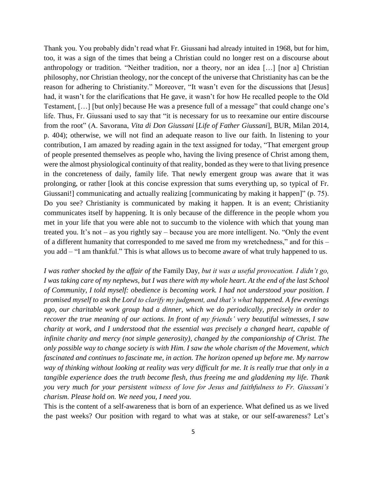Thank you. You probably didn't read what Fr. Giussani had already intuited in 1968, but for him, too, it was a sign of the times that being a Christian could no longer rest on a discourse about anthropology or tradition. "Neither tradition, nor a theory, nor an idea […] [nor a] Christian philosophy, nor Christian theology, nor the concept of the universe that Christianity has can be the reason for adhering to Christianity." Moreover, "It wasn't even for the discussions that [Jesus] had, it wasn't for the clarifications that He gave, it wasn't for how He recalled people to the Old Testament, […] [but only] because He was a presence full of a message" that could change one's life. Thus, Fr. Giussani used to say that "it is necessary for us to reexamine our entire discourse from the root" (A. Savorana, *Vita di Don Giussani* [*Life of Father Giussani*], BUR, Milan 2014, p. 404); otherwise, we will not find an adequate reason to live our faith. In listening to your contribution, I am amazed by reading again in the text assigned for today, "That emergent group of people presented themselves as people who, having the living presence of Christ among them, were the almost physiological continuity of that reality, bonded as they were to that living presence in the concreteness of daily, family life. That newly emergent group was aware that it was prolonging, or rather [look at this concise expression that sums everything up, so typical of Fr. Giussani!] communicating and actually realizing [communicating by making it happen]" (p. 75). Do you see? Christianity is communicated by making it happen. It is an event; Christianity communicates itself by happening. It is only because of the difference in the people whom you met in your life that you were able not to succumb to the violence with which that young man treated you. It's not – as you rightly say – because you are more intelligent. No. "Only the event of a different humanity that corresponded to me saved me from my wretchedness," and for this – you add – "I am thankful." This is what allows us to become aware of what truly happened to us.

*I was rather shocked by the affair of the* Family Day, *but it was a useful provocation. I didn't go, I was taking care of my nephews, but I was there with my whole heart. At the end of the last School of Community, I told myself: obedience is becoming work. I had not understood your position. I promised myself to ask the Lord to clarify my judgment, and that's what happened. A few evenings ago, our charitable work group had a dinner, which we do periodically, precisely in order to recover the true meaning of our actions. In front of my friends' very beautiful witnesses, I saw charity at work, and I understood that the essential was precisely a changed heart, capable of infinite charity and mercy (not simple generosity), changed by the companionship of Christ. The only possible way to change society is with Him. I saw the whole charism of the Movement, which fascinated and continues to fascinate me, in action. The horizon opened up before me. My narrow way of thinking without looking at reality was very difficult for me. It is really true that only in a tangible experience does the truth become flesh, thus freeing me and gladdening my life. Thank you very much for your persistent witness of love for Jesus and faithfulness to Fr. Giussani's charism. Please hold on. We need you, I need you.*

This is the content of a self-awareness that is born of an experience. What defined us as we lived the past weeks? Our position with regard to what was at stake, or our self-awareness? Let's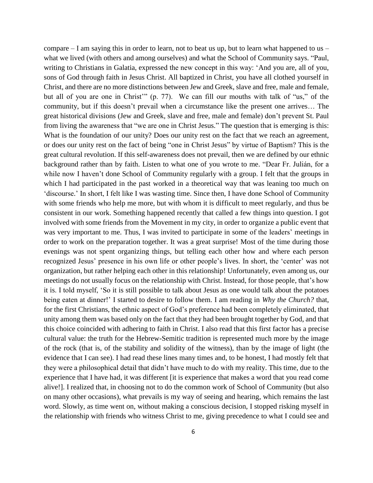compare  $- I$  am saying this in order to learn, not to beat us up, but to learn what happened to us  $- I$ what we lived (with others and among ourselves) and what the School of Community says. "Paul, writing to Christians in Galatia, expressed the new concept in this way: 'And you are, all of you, sons of God through faith in Jesus Christ. All baptized in Christ, you have all clothed yourself in Christ, and there are no more distinctions between Jew and Greek, slave and free, male and female, but all of you are one in Christ'" (p. 77). We can fill our mouths with talk of "us," of the community, but if this doesn't prevail when a circumstance like the present one arrives… The great historical divisions (Jew and Greek, slave and free, male and female) don't prevent St. Paul from living the awareness that "we are one in Christ Jesus." The question that is emerging is this: What is the foundation of our unity? Does our unity rest on the fact that we reach an agreement, or does our unity rest on the fact of being "one in Christ Jesus" by virtue of Baptism? This is the great cultural revolution. If this self-awareness does not prevail, then we are defined by our ethnic background rather than by faith. Listen to what one of you wrote to me. "Dear Fr. Julián, for a while now I haven't done School of Community regularly with a group. I felt that the groups in which I had participated in the past worked in a theoretical way that was leaning too much on 'discourse.' In short, I felt like I was wasting time. Since then, I have done School of Community with some friends who help me more, but with whom it is difficult to meet regularly, and thus be consistent in our work. Something happened recently that called a few things into question. I got involved with some friends from the Movement in my city, in order to organize a public event that was very important to me. Thus, I was invited to participate in some of the leaders' meetings in order to work on the preparation together. It was a great surprise! Most of the time during those evenings was not spent organizing things, but telling each other how and where each person recognized Jesus' presence in his own life or other people's lives. In short, the 'center' was not organization, but rather helping each other in this relationship! Unfortunately, even among us, our meetings do not usually focus on the relationship with Christ. Instead, for those people, that's how it is. I told myself, 'So it is still possible to talk about Jesus as one would talk about the potatoes being eaten at dinner!' I started to desire to follow them. I am reading in *Why the Church?* that, for the first Christians, the ethnic aspect of God's preference had been completely eliminated, that unity among them was based only on the fact that they had been brought together by God, and that this choice coincided with adhering to faith in Christ. I also read that this first factor has a precise cultural value: the truth for the Hebrew-Semitic tradition is represented much more by the image of the rock (that is, of the stability and solidity of the witness), than by the image of light (the evidence that I can see). I had read these lines many times and, to be honest, I had mostly felt that they were a philosophical detail that didn't have much to do with my reality. This time, due to the experience that I have had, it was different [it is experience that makes a word that you read come alive!]. I realized that, in choosing not to do the common work of School of Community (but also on many other occasions), what prevails is my way of seeing and hearing, which remains the last word. Slowly, as time went on, without making a conscious decision, I stopped risking myself in the relationship with friends who witness Christ to me, giving precedence to what I could see and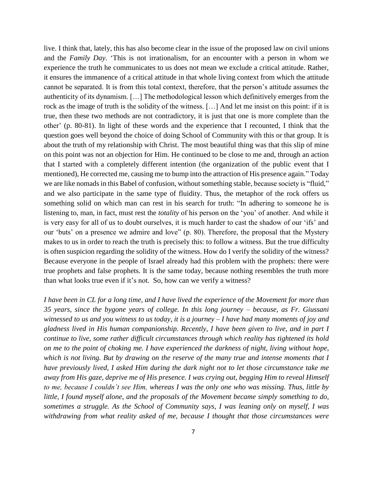live. I think that, lately, this has also become clear in the issue of the proposed law on civil unions and the *Family Day*. 'This is not irrationalism, for an encounter with a person in whom we experience the truth he communicates to us does not mean we exclude a critical attitude. Rather, it ensures the immanence of a critical attitude in that whole living context from which the attitude cannot be separated. It is from this total context, therefore, that the person's attitude assumes the authenticity of its dynamism. […] The methodological lesson which definitively emerges from the rock as the image of truth is the solidity of the witness. […] And let me insist on this point: if it is true, then these two methods are not contradictory, it is just that one is more complete than the other' (p. 80-81). In light of these words and the experience that I recounted, I think that the question goes well beyond the choice of doing School of Community with this or that group. It is about the truth of my relationship with Christ. The most beautiful thing was that this slip of mine on this point was not an objection for Him. He continued to be close to me and, through an action that I started with a completely different intention (the organization of the public event that I mentioned), He corrected me, causing me to bump into the attraction of His presence again." Today we are like nomads in this Babel of confusion, without something stable, because society is "fluid," and we also participate in the same type of fluidity. Thus, the metaphor of the rock offers us something solid on which man can rest in his search for truth: "In adhering to someone he is listening to, man, in fact, must rest the *totality* of his person on the 'you' of another. And while it is very easy for all of us to doubt ourselves, it is much harder to cast the shadow of our 'ifs' and our 'buts' on a presence we admire and love" (p. 80). Therefore, the proposal that the Mystery makes to us in order to reach the truth is precisely this: to follow a witness. But the true difficulty is often suspicion regarding the solidity of the witness. How do I verify the solidity of the witness? Because everyone in the people of Israel already had this problem with the prophets: there were true prophets and false prophets. It is the same today, because nothing resembles the truth more than what looks true even if it's not. So, how can we verify a witness?

*I have been in CL for a long time, and I have lived the experience of the Movement for more than 35 years, since the bygone years of college. In this long journey – because, as Fr. Giussani witnessed to us and you witness to us today, it is a journey – I have had many moments of joy and gladness lived in His human companionship. Recently, I have been given to live, and in part I continue to live, some rather difficult circumstances through which reality has tightened its hold on me to the point of choking me. I have experienced the darkness of night, living without hope, which is not living. But by drawing on the reserve of the many true and intense moments that I have previously lived, I asked Him during the dark night not to let those circumstance take me away from His gaze, deprive me of His presence. I was crying out, begging Him to reveal Himself to me, because I couldn't see Him, whereas I was the only one who was missing. Thus, little by little, I found myself alone, and the proposals of the Movement became simply something to do, sometimes a struggle. As the School of Community says, I was leaning only on myself, I was withdrawing from what reality asked of me, because I thought that those circumstances were*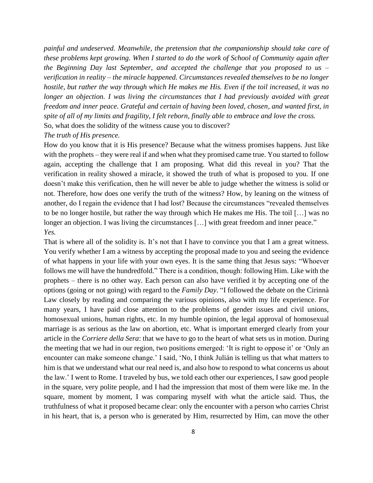*painful and undeserved. Meanwhile, the pretension that the companionship should take care of these problems kept growing. When I started to do the work of School of Community again after the Beginning Day last September, and accepted the challenge that you proposed to us – verification in reality – the miracle happened. Circumstances revealed themselves to be no longer hostile, but rather the way through which He makes me His. Even if the toil increased, it was no longer an objection. I was living the circumstances that I had previously avoided with great freedom and inner peace. Grateful and certain of having been loved, chosen, and wanted first, in spite of all of my limits and fragility, I felt reborn, finally able to embrace and love the cross.* So, what does the solidity of the witness cause you to discover?

## *The truth of His presence.*

How do you know that it is His presence? Because what the witness promises happens. Just like with the prophets – they were real if and when what they promised came true. You started to follow again, accepting the challenge that I am proposing. What did this reveal in you? That the verification in reality showed a miracle, it showed the truth of what is proposed to you. If one doesn't make this verification, then he will never be able to judge whether the witness is solid or not. Therefore, how does one verify the truth of the witness? How, by leaning on the witness of another, do I regain the evidence that I had lost? Because the circumstances "revealed themselves to be no longer hostile, but rather the way through which He makes me His. The toil […] was no longer an objection. I was living the circumstances [...] with great freedom and inner peace." *Yes.*

That is where all of the solidity is. It's not that I have to convince you that I am a great witness. You verify whether I am a witness by accepting the proposal made to you and seeing the evidence of what happens in your life with your own eyes. It is the same thing that Jesus says: "Whoever follows me will have the hundredfold." There is a condition, though: following Him. Like with the prophets – there is no other way. Each person can also have verified it by accepting one of the options (going or not going) with regard to the *Family Day*. "I followed the debate on the Cirinnà Law closely by reading and comparing the various opinions, also with my life experience. For many years, I have paid close attention to the problems of gender issues and civil unions, homosexual unions, human rights, etc. In my humble opinion, the legal approval of homosexual marriage is as serious as the law on abortion, etc. What is important emerged clearly from your article in the *Corriere della Sera*: that we have to go to the heart of what sets us in motion. During the meeting that we had in our region, two positions emerged: 'It is right to oppose it' or 'Only an encounter can make someone change.' I said, 'No, I think Julián is telling us that what matters to him is that we understand what our real need is, and also how to respond to what concerns us about the law.' I went to Rome. I traveled by bus, we told each other our experiences, I saw good people in the square, very polite people, and I had the impression that most of them were like me. In the square, moment by moment, I was comparing myself with what the article said. Thus, the truthfulness of what it proposed became clear: only the encounter with a person who carries Christ in his heart, that is, a person who is generated by Him, resurrected by Him, can move the other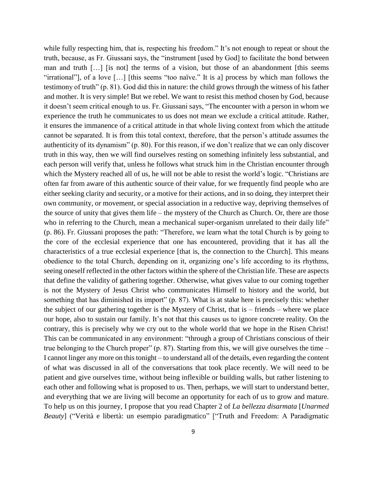while fully respecting him, that is, respecting his freedom." It's not enough to repeat or shout the truth, because, as Fr. Giussani says, the "instrument [used by God] to facilitate the bond between man and truth […] [is not] the terms of a vision, but those of an abandonment [this seems "irrational"], of a love […] [this seems "too naïve." It is a] process by which man follows the testimony of truth" (p. 81). God did this in nature: the child grows through the witness of his father and mother. It is very simple! But we rebel. We want to resist this method chosen by God, because it doesn't seem critical enough to us. Fr. Giussani says, "The encounter with a person in whom we experience the truth he communicates to us does not mean we exclude a critical attitude. Rather, it ensures the immanence of a critical attitude in that whole living context from which the attitude cannot be separated. It is from this total context, therefore, that the person's attitude assumes the authenticity of its dynamism" (p. 80). For this reason, if we don't realize that we can only discover truth in this way, then we will find ourselves resting on something infinitely less substantial, and each person will verify that, unless he follows what struck him in the Christian encounter through which the Mystery reached all of us, he will not be able to resist the world's logic. "Christians are often far from aware of this authentic source of their value, for we frequently find people who are either seeking clarity and security, or a motive for their actions, and in so doing, they interpret their own community, or movement, or special association in a reductive way, depriving themselves of the source of unity that gives them life – the mystery of the Church as Church. Or, there are those who in referring to the Church, mean a mechanical super-organism unrelated to their daily life" (p. 86). Fr. Giussani proposes the path: "Therefore, we learn what the total Church is by going to the core of the ecclesial experience that one has encountered, providing that it has all the characteristics of a true ecclesial experience [that is, the connection to the Church]. This means obedience to the total Church, depending on it, organizing one's life according to its rhythms, seeing oneself reflected in the other factors within the sphere of the Christian life. These are aspects that define the validity of gathering together. Otherwise, what gives value to our coming together is not the Mystery of Jesus Christ who communicates Himself to history and the world, but something that has diminished its import" (p. 87). What is at stake here is precisely this: whether the subject of our gathering together is the Mystery of Christ, that is – friends – where we place our hope, also to sustain our family. It's not that this causes us to ignore concrete reality. On the contrary, this is precisely why we cry out to the whole world that we hope in the Risen Christ! This can be communicated in any environment: "through a group of Christians conscious of their true belonging to the Church proper" (p. 87). Starting from this, we will give ourselves the time – I cannot linger any more on this tonight – to understand all of the details, even regarding the content of what was discussed in all of the conversations that took place recently. We will need to be patient and give ourselves time, without being inflexible or building walls, but rather listening to each other and following what is proposed to us. Then, perhaps, we will start to understand better, and everything that we are living will become an opportunity for each of us to grow and mature. To help us on this journey, I propose that you read Chapter 2 of *La bellezza disarmata* [*Unarmed Beauty*] ("Verità e libertà: un esempio paradigmatico" ["Truth and Freedom: A Paradigmatic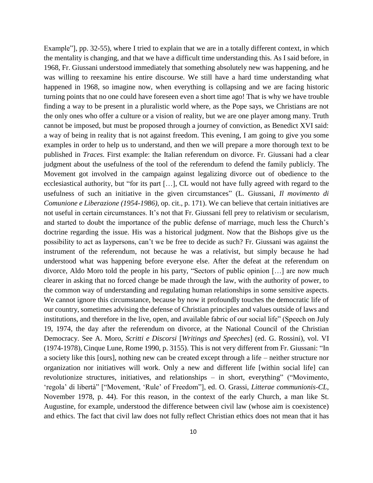Example", pp. 32-55), where I tried to explain that we are in a totally different context, in which the mentality is changing, and that we have a difficult time understanding this. As I said before, in 1968, Fr. Giussani understood immediately that something absolutely new was happening, and he was willing to reexamine his entire discourse. We still have a hard time understanding what happened in 1968, so imagine now, when everything is collapsing and we are facing historic turning points that no one could have foreseen even a short time ago! That is why we have trouble finding a way to be present in a pluralistic world where, as the Pope says, we Christians are not the only ones who offer a culture or a vision of reality, but we are one player among many. Truth cannot be imposed, but must be proposed through a journey of conviction, as Benedict XVI said: a way of being in reality that is not against freedom. This evening, I am going to give you some examples in order to help us to understand, and then we will prepare a more thorough text to be published in *Traces.* First example: the Italian referendum on divorce. Fr. Giussani had a clear judgment about the usefulness of the tool of the referendum to defend the family publicly. The Movement got involved in the campaign against legalizing divorce out of obedience to the ecclesiastical authority, but "for its part […], CL would not have fully agreed with regard to the usefulness of such an initiative in the given circumstances" (L. Giussani, *Il movimento di Comunione e Liberazione (1954-1986)*, op. cit., p. 171). We can believe that certain initiatives are not useful in certain circumstances. It's not that Fr. Giussani fell prey to relativism or secularism, and started to doubt the importance of the public defense of marriage, much less the Church's doctrine regarding the issue. His was a historical judgment. Now that the Bishops give us the possibility to act as laypersons, can't we be free to decide as such? Fr. Giussani was against the instrument of the referendum, not because he was a relativist, but simply because he had understood what was happening before everyone else. After the defeat at the referendum on divorce, Aldo Moro told the people in his party, "Sectors of public opinion […] are now much clearer in asking that no forced change be made through the law, with the authority of power, to the common way of understanding and regulating human relationships in some sensitive aspects. We cannot ignore this circumstance, because by now it profoundly touches the democratic life of our country, sometimes advising the defense of Christian principles and values outside of laws and institutions, and therefore in the live, open, and available fabric of our social life" (Speech on July 19, 1974, the day after the referendum on divorce, at the National Council of the Christian Democracy. See A. Moro, *Scritti e Discorsi* [*Writings and Speeches*] (ed. G. Rossini), vol. VI (1974-1978), Cinque Lune, Rome 1990, p. 3155). This is not very different from Fr. Giussani: "In a society like this [ours], nothing new can be created except through a life – neither structure nor organization nor initiatives will work. Only a new and different life [within social life] can revolutionize structures, initiatives, and relationships – in short, everything" ("Movimento, 'regola' di libertà" ["Movement, 'Rule' of Freedom"], ed. O. Grassi, *Litterae communionis-CL*, November 1978, p. 44). For this reason, in the context of the early Church, a man like St. Augustine, for example, understood the difference between civil law (whose aim is coexistence) and ethics. The fact that civil law does not fully reflect Christian ethics does not mean that it has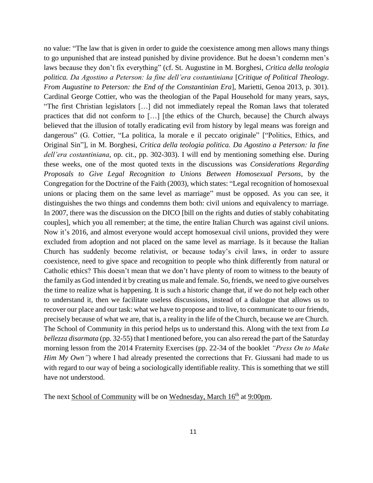no value: "The law that is given in order to guide the coexistence among men allows many things to go unpunished that are instead punished by divine providence. But he doesn't condemn men's laws because they don't fix everything" (cf. St. Augustine in M. Borghesi, *Critica della teologia politica. Da Agostino a Peterson: la fine dell'era costantiniana* [*Critique of Political Theology. From Augustine to Peterson: the End of the Constantinian Era*], Marietti, Genoa 2013, p. 301). Cardinal George Cottier, who was the theologian of the Papal Household for many years, says, "The first Christian legislators […] did not immediately repeal the Roman laws that tolerated practices that did not conform to […] [the ethics of the Church, because] the Church always believed that the illusion of totally eradicating evil from history by legal means was foreign and dangerous" (G. Cottier, "La politica, la morale e il peccato originale" ["Politics, Ethics, and Original Sin"], in M. Borghesi, *Critica della teologia politica. Da Agostino a Peterson: la fine dell'era costantiniana*, op. cit., pp. 302-303). I will end by mentioning something else. During these weeks, one of the most quoted texts in the discussions was *Considerations Regarding Proposals to Give Legal Recognition to Unions Between Homosexual Persons*, by the Congregation for the Doctrine of the Faith (2003), which states: "Legal recognition of homosexual unions or placing them on the same level as marriage" must be opposed. As you can see, it distinguishes the two things and condemns them both: civil unions and equivalency to marriage. In 2007, there was the discussion on the DICO [bill on the rights and duties of stably cohabitating couples], which you all remember; at the time, the entire Italian Church was against civil unions. Now it's 2016, and almost everyone would accept homosexual civil unions, provided they were excluded from adoption and not placed on the same level as marriage. Is it because the Italian Church has suddenly become relativist, or because today's civil laws, in order to assure coexistence, need to give space and recognition to people who think differently from natural or Catholic ethics? This doesn't mean that we don't have plenty of room to witness to the beauty of the family as God intended it by creating us male and female. So, friends, we need to give ourselves the time to realize what is happening. It is such a historic change that, if we do not help each other to understand it, then we facilitate useless discussions, instead of a dialogue that allows us to recover our place and our task: what we have to propose and to live, to communicate to our friends, precisely because of what we are, that is, a reality in the life of the Church, because we are Church. The School of Community in this period helps us to understand this. Along with the text from *La bellezza disarmata* (pp. 32-55) that I mentioned before, you can also reread the part of the Saturday morning lesson from the 2014 Fraternity Exercises (pp. 22-34 of the booklet *"Press On to Make Him My Own"*) where I had already presented the corrections that Fr. Giussani had made to us with regard to our way of being a sociologically identifiable reality. This is something that we still have not understood.

The next School of Community will be on Wednesday, March 16<sup>th</sup> at 9:00pm.